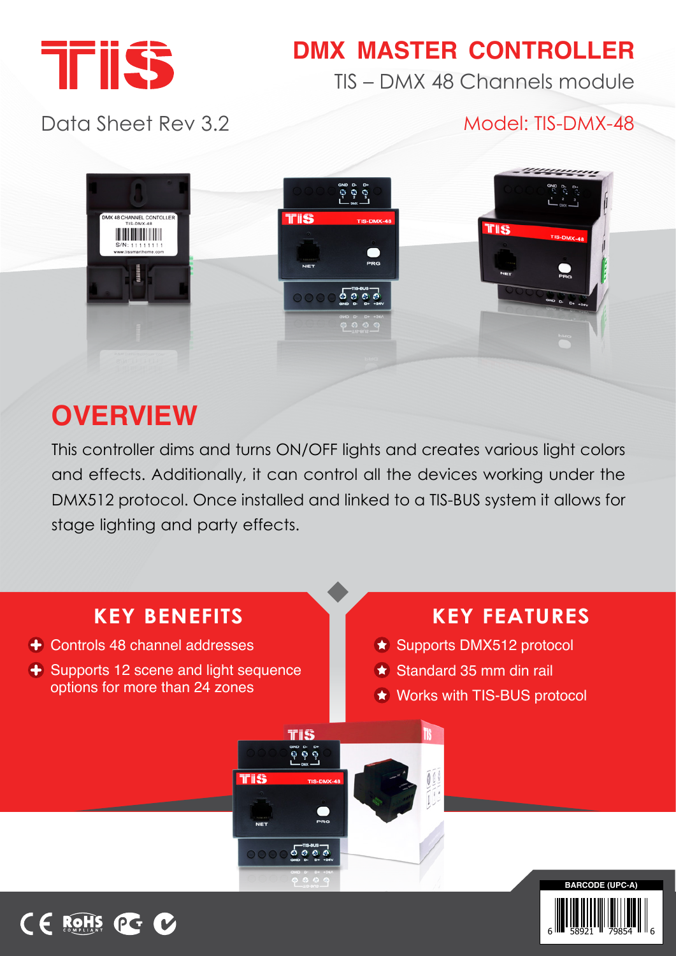

# **DMX MASTER CONTROLLER**

TIS – DMX 48 Channels module

Data Sheet Rev 3.2

### Model: TIS-DMX-48

6 W∎ 58921 H 79854 H H 6



# **OVERVIEW**

This controller dims and turns ON/OFF lights and creates various light colors and effects. Additionally, it can control all the devices working under the DMX512 protocol. Once installed and linked to a TIS-BUS system it allows for stage lighting and party effects.